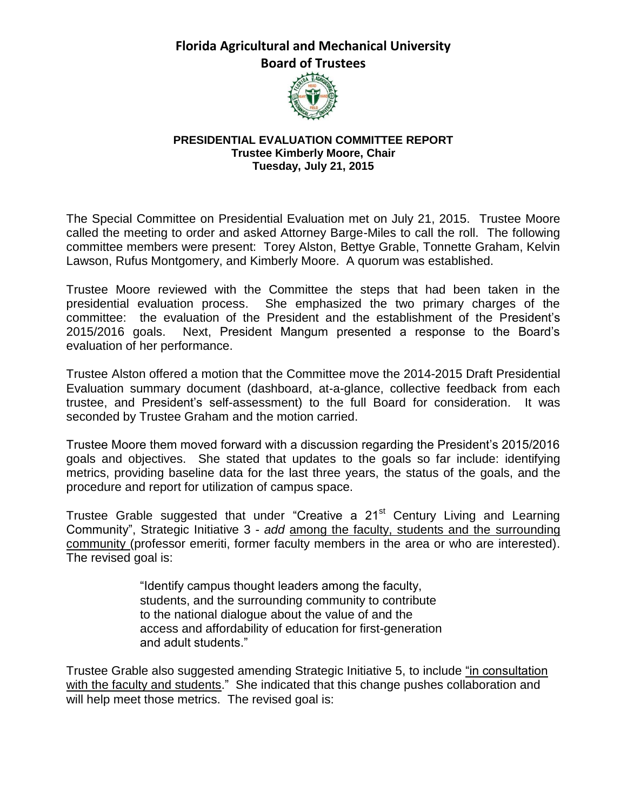**Florida Agricultural and Mechanical University Board of Trustees**



## **PRESIDENTIAL EVALUATION COMMITTEE REPORT Trustee Kimberly Moore, Chair Tuesday, July 21, 2015**

The Special Committee on Presidential Evaluation met on July 21, 2015. Trustee Moore called the meeting to order and asked Attorney Barge-Miles to call the roll. The following committee members were present: Torey Alston, Bettye Grable, Tonnette Graham, Kelvin Lawson, Rufus Montgomery, and Kimberly Moore. A quorum was established.

Trustee Moore reviewed with the Committee the steps that had been taken in the presidential evaluation process. She emphasized the two primary charges of the committee: the evaluation of the President and the establishment of the President's 2015/2016 goals. Next, President Mangum presented a response to the Board's evaluation of her performance.

Trustee Alston offered a motion that the Committee move the 2014-2015 Draft Presidential Evaluation summary document (dashboard, at-a-glance, collective feedback from each trustee, and President's self-assessment) to the full Board for consideration. It was seconded by Trustee Graham and the motion carried.

Trustee Moore them moved forward with a discussion regarding the President's 2015/2016 goals and objectives. She stated that updates to the goals so far include: identifying metrics, providing baseline data for the last three years, the status of the goals, and the procedure and report for utilization of campus space.

Trustee Grable suggested that under "Creative a 21<sup>st</sup> Century Living and Learning Community", Strategic Initiative 3 - *add* among the faculty, students and the surrounding community (professor emeriti, former faculty members in the area or who are interested). The revised goal is:

> "Identify campus thought leaders among the faculty, students, and the surrounding community to contribute to the national dialogue about the value of and the access and affordability of education for first-generation and adult students."

Trustee Grable also suggested amending Strategic Initiative 5, to include "in consultation with the faculty and students." She indicated that this change pushes collaboration and will help meet those metrics. The revised goal is: